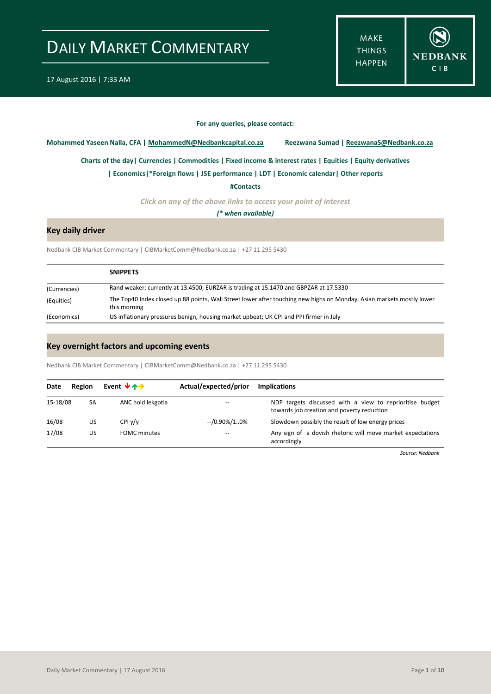**MAKE THINGS HAPPEN** 



#### **For any queries, please contact:**

<span id="page-0-0"></span>**Mohammed Yaseen Nalla, CFA | MohammedN@Nedbankcapital.co.za Reezwana Sumad | ReezwanaS@Nedbank.co.za**

**Charts of the day[| Currencies](#page-2-0) [| Commodities](#page-3-0) | [Fixed income & interest rates](#page-4-0) [| Equities](#page-5-0) | Equity derivatives**

**[| Economics|](#page-1-0)\*Foreign flows | [JSE performance](#page-6-0) | LDT [| Economic calendar|](#page-7-0) Other reports** 

**[#Contacts](#page-8-0)**

*Click on any of the above links to access your point of interest*

*(\* when available)*

### **Key daily driver**

Nedbank CIB Market Commentary | CIBMarketComm@Nedbank.co.za | +27 11 295 5430

|              | <b>SNIPPETS</b>                                                                                                                       |
|--------------|---------------------------------------------------------------------------------------------------------------------------------------|
| (Currencies) | Rand weaker; currently at 13.4500, EURZAR is trading at 15.1470 and GBPZAR at 17.5330                                                 |
| (Equities)   | The Top40 Index closed up 88 points, Wall Street lower after touching new highs on Monday, Asian markets mostly lower<br>this morning |
| (Economics)  | US inflationary pressures benign, housing market upbeat; UK CPI and PPI firmer in July                                                |

### **Key overnight factors and upcoming events**

Nedbank CIB Market Commentary | CIBMarketComm@Nedbank.co.za | +27 11 295 5430

| Date     | Event $\forall$ $\land \rightarrow$<br>Region |                     | Actual/expected/prior | <b>Implications</b>                                                                                    |
|----------|-----------------------------------------------|---------------------|-----------------------|--------------------------------------------------------------------------------------------------------|
| 15-18/08 | SA                                            | ANC hold lekgotla   |                       | NDP targets discussed with a view to reprioritise budget<br>towards job creation and poverty reduction |
| 16/08    | US                                            | CPIV/V              | --/0.90%/10%          | Slowdown possibly the result of low energy prices                                                      |
| 17/08    | US                                            | <b>FOMC</b> minutes | --                    | Any sign of a dovish rhetoric will move market expectations<br>accordingly                             |

*Source: Nedbank*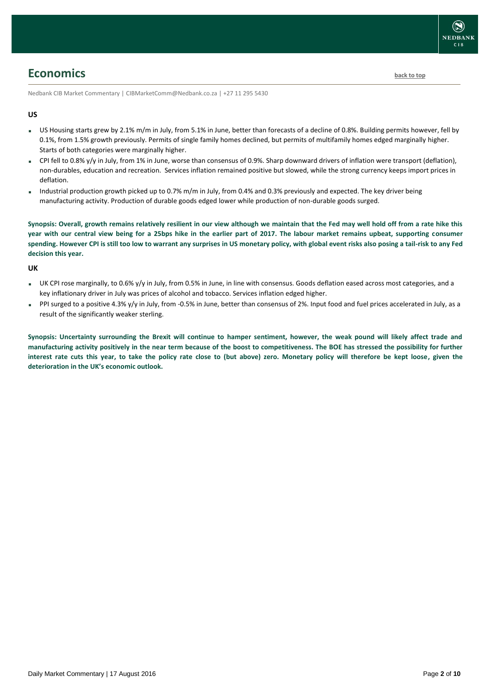

# <span id="page-1-0"></span>**Economics [back to top](#page-0-0)**

Nedbank CIB Market Commentary | CIBMarketComm@Nedbank.co.za | +27 11 295 5430

### **US**

- US Housing starts grew by 2.1% m/m in July, from 5.1% in June, better than forecasts of a decline of 0.8%. Building permits however, fell by 0.1%, from 1.5% growth previously. Permits of single family homes declined, but permits of multifamily homes edged marginally higher. Starts of both categories were marginally higher.
- CPI fell to 0.8% y/y in July, from 1% in June, worse than consensus of 0.9%. Sharp downward drivers of inflation were transport (deflation), non-durables, education and recreation. Services inflation remained positive but slowed, while the strong currency keeps import prices in deflation.
- Industrial production growth picked up to 0.7% m/m in July, from 0.4% and 0.3% previously and expected. The key driver being manufacturing activity. Production of durable goods edged lower while production of non-durable goods surged.

**Synopsis: Overall, growth remains relatively resilient in our view although we maintain that the Fed may well hold off from a rate hike this year with our central view being for a 25bps hike in the earlier part of 2017. The labour market remains upbeat, supporting consumer spending. However CPI is still too low to warrant any surprises in US monetary policy, with global event risks also posing a tail-risk to any Fed decision this year.**

#### **UK**

- UK CPI rose marginally, to 0.6% y/y in July, from 0.5% in June, in line with consensus. Goods deflation eased across most categories, and a key inflationary driver in July was prices of alcohol and tobacco. Services inflation edged higher.
- PPI surged to a positive 4.3% y/y in July, from -0.5% in June, better than consensus of 2%. Input food and fuel prices accelerated in July, as a result of the significantly weaker sterling.

**Synopsis: Uncertainty surrounding the Brexit will continue to hamper sentiment, however, the weak pound will likely affect trade and manufacturing activity positively in the near term because of the boost to competitiveness. The BOE has stressed the possibility for further interest rate cuts this year, to take the policy rate close to (but above) zero. Monetary policy will therefore be kept loose, given the deterioration in the UK's economic outlook.**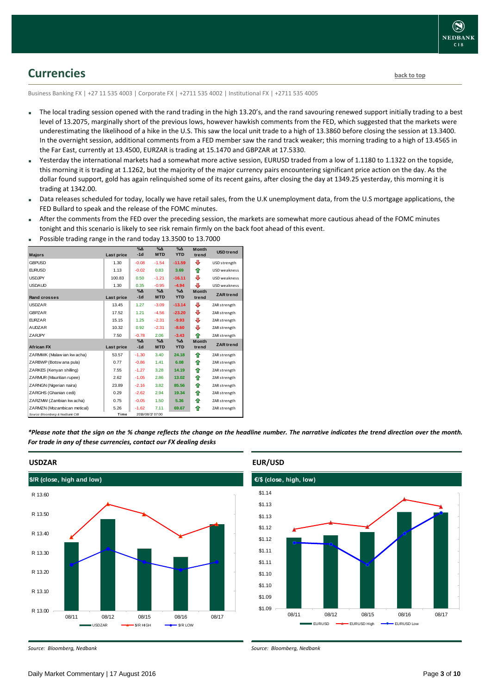

## <span id="page-2-0"></span>**Currencies [back to top](#page-0-0)**

Business Banking FX | +27 11 535 4003 | Corporate FX | +2711 535 4002 | Institutional FX | +2711 535 4005

- The local trading session opened with the rand trading in the high 13.20's, and the rand savouring renewed support initially trading to a best level of 13.2075, marginally short of the previous lows, however hawkish comments from the FED, which suggested that the markets were underestimating the likelihood of a hike in the U.S. This saw the local unit trade to a high of 13.3860 before closing the session at 13.3400. In the overnight session, additional comments from a FED member saw the rand track weaker; this morning trading to a high of 13.4565 in the Far East, currently at 13.4500, EURZAR is trading at 15.1470 and GBPZAR at 17.5330.
- Yesterday the international markets had a somewhat more active session, EURUSD traded from a low of 1.1180 to 1.1322 on the topside, this morning it is trading at 1.1262, but the majority of the major currency pairs encountering significant price action on the day. As the dollar found support, gold has again relinquished some of its recent gains, after closing the day at 1349.25 yesterday, this morning it is trading at 1342.00.
- Data releases scheduled for today, locally we have retail sales, from the U.K unemployment data, from the U.S mortgage applications, the FED Bullard to speak and the release of the FOMC minutes.
- After the comments from the FED over the preceding session, the markets are somewhat more cautious ahead of the FOMC minutes tonight and this scenario is likely to see risk remain firmly on the back foot ahead of this event.

| <b>Majors</b>                   | Last price | $\%$ $\Delta$<br>$-1d$ | $\Delta$<br><b>MTD</b>    | $\%$ $\Delta$<br><b>YTD</b> | <b>Month</b><br>trend | <b>USD</b> trend    |
|---------------------------------|------------|------------------------|---------------------------|-----------------------------|-----------------------|---------------------|
| <b>GBPUSD</b>                   | 1.30       | $-0.08$                | $-1.54$                   | $-11.59$                    | ⊕                     | USD strength        |
| <b>EURUSD</b>                   | 1.13       | $-0.02$                | 0.83                      | 3.69                        | ⇑                     | USD weakness        |
| <b>USDJPY</b>                   | 100.83     | 0.50                   | $-1.21$                   | $-16.11$                    | ₽                     | <b>USD</b> weakness |
| <b>USDAUD</b>                   | 1.30       | 0.35                   | $-0.95$                   | $-4.94$                     | ⊕                     | USD weakness        |
| <b>Rand crosses</b>             | Last price | $% \Delta$<br>$-1d$    | $\Delta$<br><b>MTD</b>    | $\%$ $\Delta$<br><b>YTD</b> | <b>Month</b><br>trend | <b>ZAR</b> trend    |
| <b>USDZAR</b>                   | 13.45      | 1.27                   | $-3.09$                   | $-13.14$                    | ⊕                     | ZAR strength        |
| <b>GBPZAR</b>                   | 17.52      | 1.21                   | $-4.56$                   | $-23.20$                    | ⊕                     | ZAR strength        |
| <b>FURZAR</b>                   | 15.15      | 1.25                   | $-2.31$                   | $-9.93$                     | ⊕                     | ZAR strength        |
| <b>AUDZAR</b>                   | 10.32      | 0.92                   | $-2.31$                   | $-8.60$                     | ⊕                     | ZAR strength        |
| <b>ZARJPY</b>                   | 7.50       | $-0.78$                | 2.06                      | $-3.43$                     | ♠                     | ZAR strength        |
| <b>African FX</b>               | Last price | $\%$ $\Delta$<br>$-1d$ | $\% \Delta$<br><b>MTD</b> | $\%$ $\Delta$<br><b>YTD</b> | <b>Month</b><br>trend | <b>ZAR</b> trend    |
| ZARMWK (Malaw ian kw acha)      | 53.57      | $-1.30$                | 3.40                      | 24.18                       | ⇑                     | ZAR strength        |
| ZARBWP (Botsw ana pula)         | 0.77       | $-0.86$                | 1.41                      | 6.08                        | ⇑                     | ZAR strength        |
| ZARKES (Kenyan shilling)        | 7.55       | $-1.27$                | 3.28                      | 14.19                       | ⇑                     | ZAR strength        |
| ZARMUR (Mauritian rupee)        | 2.62       | $-1.05$                | 2.86                      | 13.02                       | ♠                     | ZAR strength        |
| ZARNGN (Nigerian naira)         | 23.89      | $-2.16$                | 3.82                      | 85.56                       | ⇑                     | ZAR strength        |
| ZARGHS (Ghanian cedi)           | 0.29       | $-2.62$                | 2.94                      | 19.34                       | ⇑                     | ZAR strength        |
| ZARZMW (Zambian kw acha)        | 0.75       | $-0.05$                | 1.50                      | 5.36                        | ⇑                     | ZAR strength        |
| ZARMZN (Mozambican metical)     | 5.26       | $-1.62$                | 7.11                      | 69.67                       | ⇑                     | ZAR strength        |
| Source: Bloomberg & Nedbank CIB | Time       |                        | 2016/08/17 07:00          |                             |                       |                     |

Possible trading range in the rand today 13.3500 to 13.7000

*\*Please note that the sign on the % change reflects the change on the headline number. The narrative indicates the trend direction over the month. For trade in any of these currencies, contact our FX dealing desks*



#### **USDZAR**

*Source: Bloomberg, Nedbank*



### **EUR/USD**



*Source: Bloomberg, Nedbank*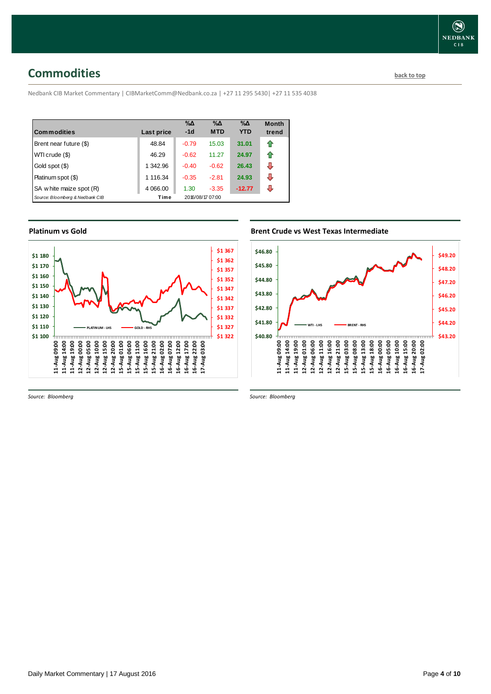# <span id="page-3-0"></span>**Commodities [back to top](#page-0-0)**

Nedbank CIB Market Commentary | CIBMarketComm@Nedbank.co.za | +27 11 295 5430| +27 11 535 4038

| <b>Commodities</b>              | Last price | $\% \Delta$<br>$-1d$ | $\% \Delta$<br><b>MTD</b> | $\% \Delta$<br><b>YTD</b> | <b>Month</b><br>trend |
|---------------------------------|------------|----------------------|---------------------------|---------------------------|-----------------------|
| Brent near future (\$)          | 48.84      | $-0.79$              | 15.03                     | 31.01                     | ⇑                     |
| WTI crude (\$)                  | 46.29      | $-0.62$              | 11.27                     | 24.97                     | ⇑                     |
| Gold spot (\$)                  | 1 342.96   | $-0.40$              | $-0.62$                   | 26.43                     | ⊕                     |
| Platinum spot (\$)              | 1 116.34   | $-0.35$              | $-2.81$                   | 24.93                     | ⊕                     |
| SA w hite maize spot (R)        | 4 0 66.00  | 1.30                 | $-3.35$                   | $-12.77$                  | ⊕                     |
| Source: Bloomberg & Nedbank CIB | Time       |                      | 2016/08/17 07:00          |                           |                       |

### **Platinum vs Gold Platinum vs. Gold**



*Source: Bloomberg*

## **Brent Crude vs West Texas Intermediate Brent Crude vs West Texas Intermediate**



*Source: Bloomberg*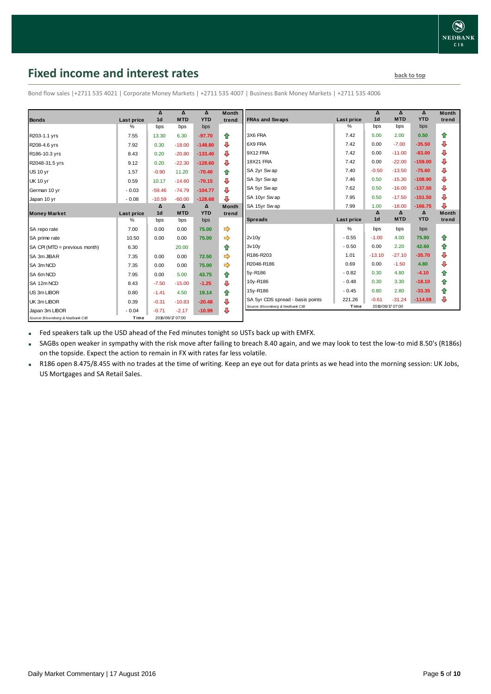# <span id="page-4-0"></span>**Fixed income and interest rates back to the line of the set of the set of the set of the set of the set of the set of the set of the set of the set of the set of the set of the set of the set of the set of the set of th**

|                                 |            | Δ                | Δ          | Δ          | <b>Month</b>            |                                  |            | Δ                | Δ          | Δ          | <b>Month</b> |
|---------------------------------|------------|------------------|------------|------------|-------------------------|----------------------------------|------------|------------------|------------|------------|--------------|
| <b>Bonds</b>                    | Last price | 1 <sub>d</sub>   | <b>MTD</b> | <b>YTD</b> | trend                   | <b>FRAs and Swaps</b>            | Last price | 1 <sub>d</sub>   | <b>MTD</b> | <b>YTD</b> | trend        |
|                                 | ℅          | bps              | bps        | bps        |                         |                                  | %          | bps              | bps        | bps        |              |
| R203-1.1 yrs                    | 7.55       | 13.30            | 6.30       | $-97.70$   | ⇑                       | 3X6 FRA                          | 7.42       | 5.00             | 2.00       | 0.50       | ⇑            |
| R208-4.6 yrs                    | 7.92       | 0.30             | $-18.00$   | $-148.80$  | ⊕                       | 6X9 FRA                          | 7.42       | 0.00             | $-7.00$    | $-35.50$   | ₽            |
| R186-10.3 yrs                   | 8.43       | 0.20             | $-20.80$   | $-133.40$  | ⊕                       | 9X12 FRA                         | 7.42       | 0.00             | $-11.00$   | $-83.00$   | ⇩            |
| R2048-31.5 yrs                  | 9.12       | 0.20             | $-22.30$   | $-128.60$  | ⊕                       | 18X21 FRA                        | 7.42       | 0.00             | $-22.00$   | $-159.00$  | ⇩            |
| <b>US 10 yr</b>                 | 1.57       | $-0.90$          | 11.20      | $-70.40$   | 合                       | SA 2yr Sw ap                     | 7.40       | $-0.50$          | $-13.50$   | $-75.60$   | ⇩            |
| <b>UK 10 yr</b>                 | 0.59       | 10.17            | $-14.60$   | $-70.15$   | $\ddot{\phantom{1}}$    | SA 3yr Sw ap                     | 7.46       | 0.50             | $-15.30$   | $-108.90$  | ₽            |
| German 10 yr                    | $-0.03$    | $-59.46$         | $-74.79$   | $-104.77$  | ⊕                       | SA 5yr Sw ap                     | 7.62       | 0.50             | $-16.00$   | $-137.50$  | ⇩            |
| Japan 10 yr                     | $-0.08$    | $-10.59$         | $-60.00$   | $-128.68$  | $\overline{\mathbf{u}}$ | SA 10yr Sw ap                    | 7.95       | 0.50             | $-17.50$   | $-151.50$  | ⇩            |
|                                 |            | Δ                | $\Delta$   | Δ          | <b>Month</b>            | SA 15yr Swap                     | 7.99       | 1.00             | $-18.00$   | $-166.75$  | J            |
| <b>Money Market</b>             | Last price | 1 <sub>d</sub>   | <b>MTD</b> | <b>YTD</b> | trend                   |                                  |            | Δ                | Δ          | Δ          | <b>Month</b> |
|                                 | ℅          | bps              | bps        | bps        |                         | <b>Spreads</b>                   | Last price | 1 <sub>d</sub>   | <b>MTD</b> | <b>YTD</b> | trend        |
| SA repo rate                    | 7.00       | 0.00             | 0.00       | 75.00      | $\Rightarrow$           |                                  | %          | bps              | bps        | bps        |              |
| SA prime rate                   | 10.50      | 0.00             | 0.00       | 75.00      | $\Rightarrow$           | 2v10v                            | $-0.55$    | $-1.00$          | 4.00       | 75.90      | ⇮            |
| SA CPI (MTD = previous month)   | 6.30       |                  | 20.00      |            | ⇑                       | 3v10v                            | $-0.50$    | 0.00             | 2.20       | 42.60      | ⇮            |
| SA 3m JIBAR                     | 7.35       | 0.00             | 0.00       | 72.50      | $\Rightarrow$           | R186-R203                        | 1.01       | $-13.10$         | $-27.10$   | $-35.70$   | ₽            |
| SA 3m NCD                       | 7.35       | 0.00             | 0.00       | 75.00      | $\Rightarrow$           | R2048-R186                       | 0.69       | 0.00             | $-1.50$    | 4.80       | ⇩            |
| SA 6m NCD                       | 7.95       | 0.00             | 5.00       | 43.75      | ⇮                       | 5v-R186                          | $-0.82$    | 0.30             | 4.80       | $-4.10$    | 合            |
| SA 12m NCD                      | 8.43       | $-7.50$          | $-15.00$   | $-1.25$    | ⊕                       | 10y-R186                         | $-0.48$    | 0.30             | 3.30       | $-18.10$   | ⇮            |
| US 3m LIBOR                     | 0.80       | $-1.41$          | 4.50       | 19.14      | 企                       | 15y-R186                         | $-0.45$    | 0.80             | 2.80       | $-33.35$   | ✿            |
| UK 3m LIBOR                     | 0.39       | $-0.31$          | $-10.83$   | $-20.48$   | ⊕                       | SA 5yr CDS spread - basis points | 221.26     | $-0.61$          | $-31.24$   | $-114.59$  | ⇩            |
| Japan 3m LIBOR                  | $-0.04$    | $-0.71$          | $-2.17$    | $-10.99$   | $\ddot{\phantom{1}}$    | Source: Bloomberg & Nedbank CIB  | Time       | 2016/08/17 07:00 |            |            |              |
| Source: Bloomberg & Nedbank CIB | Time       | 2016/08/17 07:00 |            |            |                         |                                  |            |                  |            |            |              |

Bond flow sales |+2711 535 4021 | Corporate Money Markets | +2711 535 4007 | Business Bank Money Markets | +2711 535 4006

Fed speakers talk up the USD ahead of the Fed minutes tonight so USTs back up with EMFX.

 SAGBs open weaker in sympathy with the risk move after failing to breach 8.40 again, and we may look to test the low-to mid 8.50's (R186s) on the topside. Expect the action to remain in FX with rates far less volatile.

 R186 open 8.475/8.455 with no trades at the time of writing. Keep an eye out for data prints as we head into the morning session: UK Jobs, US Mortgages and SA Retail Sales.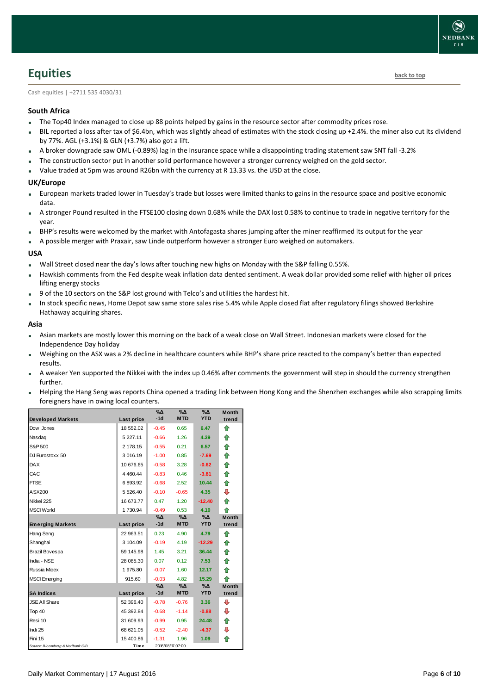# <span id="page-5-0"></span>**Equities [back to top](#page-0-0)**

Cash equities | +2711 535 4030/31

### **South Africa**

- The Top40 Index managed to close up 88 points helped by gains in the resource sector after commodity prices rose.
- BIL reported a loss after tax of \$6.4bn, which was slightly ahead of estimates with the stock closing up +2.4%. the miner also cut its dividend by 77%. AGL (+3.1%) & GLN (+3.7%) also got a lift.
- A broker downgrade saw OML (-0.89%) lag in the insurance space while a disappointing trading statement saw SNT fall -3.2%
- The construction sector put in another solid performance however a stronger currency weighed on the gold sector.
- Value traded at 5pm was around R26bn with the currency at R 13.33 vs. the USD at the close.

#### **UK/Europe**

- European markets traded lower in Tuesday's trade but losses were limited thanks to gains in the resource space and positive economic data.
- A stronger Pound resulted in the FTSE100 closing down 0.68% while the DAX lost 0.58% to continue to trade in negative territory for the year.
- BHP's results were welcomed by the market with Antofagasta shares jumping after the miner reaffirmed its output for the year
- A possible merger with Praxair, saw Linde outperform however a stronger Euro weighed on automakers.

#### **USA**

- Wall Street closed near the day's lows after touching new highs on Monday with the S&P falling 0.55%.
- Hawkish comments from the Fed despite weak inflation data dented sentiment. A weak dollar provided some relief with higher oil prices lifting energy stocks
- 9 of the 10 sectors on the S&P lost ground with Telco's and utilities the hardest hit.
- In stock specific news, Home Depot saw same store sales rise 5.4% while Apple closed flat after regulatory filings showed Berkshire Hathaway acquiring shares.

#### **Asia**

- Asian markets are mostly lower this morning on the back of a weak close on Wall Street. Indonesian markets were closed for the Independence Day holiday
- Weighing on the ASX was a 2% decline in healthcare counters while BHP's share price reacted to the company's better than expected results.
- A weaker Yen supported the Nikkei with the index up 0.46% after comments the government will step in should the currency strengthen further.
- Helping the Hang Seng was reports China opened a trading link between Hong Kong and the Shenzhen exchanges while also scrapping limits foreigners have in owing local counters.

| <b>Developed Markets</b>        | Last price    | $\% \Delta$<br>$-1d$ | %Δ<br><b>MTD</b> | %Δ<br><b>YTD</b> | <b>Month</b><br>trend |
|---------------------------------|---------------|----------------------|------------------|------------------|-----------------------|
|                                 |               |                      |                  |                  |                       |
| Dow Jones                       | 18 552.02     | $-0.45$              | 0.65             | 6.47             | ⇑                     |
| Nasdag                          | 5 2 2 7 . 1 1 | $-0.66$              | 1.26             | 4.39             | ⇑                     |
| S&P 500                         | 2 178.15      | $-0.55$              | 0.21             | 6.57             | 合                     |
| DJ Eurostoxx 50                 | 3 016.19      | $-1.00$              | 0.85             | $-7.69$          | ⇑                     |
| <b>DAX</b>                      | 10 676.65     | $-0.58$              | 3.28             | $-0.62$          | 合                     |
| CAC                             | 4 4 6 0.4 4   | $-0.83$              | 0.46             | $-3.81$          | ⇑                     |
| <b>FTSE</b>                     | 6893.92       | $-0.68$              | 2.52             | 10.44            | 合                     |
| ASX200                          | 5 5 26.40     | $-0.10$              | $-0.65$          | 4.35             | ⇩                     |
| Nikkei 225                      | 16 673.77     | 0.47                 | 1.20             | $-12.40$         | ⇑                     |
| <b>MSCI World</b>               | 1730.94       | $-0.49$              | 0.53             | 4.10             | ♠                     |
|                                 |               | %∆                   | %Δ               | %Δ               | <b>Month</b>          |
| <b>Emerging Markets</b>         | Last price    | $-1d$                | <b>MTD</b>       | <b>YTD</b>       | trend                 |
| Hang Seng                       | 22 963.51     | 0.23                 | 4.90             | 4.79             | ⇑                     |
| Shanghai                        | 3 104.09      | $-0.19$              | 4.19             | $-12.29$         | ⇮                     |
| Brazil Bovespa                  | 59 145.98     | 1.45                 | 3.21             | 36.44            | ⇑                     |
| India - NSE                     | 28 085.30     | 0.07                 | 0.12             | 7.53             | ⇑                     |
| Russia Micex                    | 1975.80       | $-0.07$              | 1.60             | 12.17            | ⇑                     |
| <b>MSCI</b> Emerging            | 915.60        | $-0.03$              | 4.82             | 15.29            | ⇑                     |
|                                 |               | %∆                   | %Δ               | %Δ               | <b>Month</b>          |
| <b>SA Indices</b>               | Last price    | $-1d$                | <b>MTD</b>       | <b>YTD</b>       | trend                 |
| <b>JSE All Share</b>            | 52 396.40     | $-0.78$              | $-0.76$          | 3.36             | ⊕                     |
| Top 40                          | 45 392.84     | $-0.68$              | $-1.14$          | $-0.88$          | ⊕                     |
| Resi 10                         | 31 609.93     | $-0.99$              | 0.95             | 24.48            | ⇮                     |
| Indi 25                         | 68 621.05     | $-0.52$              | $-2.40$          | $-4.37$          | ⊕                     |
| Fini 15                         | 15 400.86     | $-1.31$              | 1.96             | 1.09             | ♠                     |
| Source: Bloomberg & Nedbank CIB | Time          |                      | 2016/08/17 07:00 |                  |                       |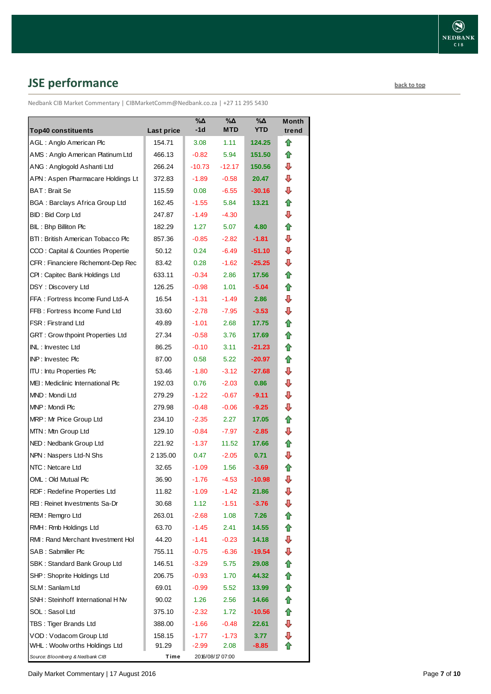# <span id="page-6-0"></span>**JSE performance [back to top](#page-0-0) back to top**

Nedbank CIB Market Commentary | CIBMarketComm@Nedbank.co.za | +27 11 295 5430

| <b>Top40 constituents</b>                                              |                      | $\sqrt{20}$<br>$-1d$ | $\overline{\mathsf{A}}$<br><b>MTD</b> | $\overline{\mathsf{A}}$<br><b>YTD</b> | <b>Month</b><br>trend |
|------------------------------------------------------------------------|----------------------|----------------------|---------------------------------------|---------------------------------------|-----------------------|
| AGL: Anglo American Plc                                                | Last price<br>154.71 | 3.08                 | 1.11                                  | 124.25                                | ⇑                     |
| AMS: Anglo American Platinum Ltd                                       | 466.13               | $-0.82$              | 5.94                                  | 151.50                                | ⇑                     |
| ANG: Anglogold Ashanti Ltd                                             | 266.24               | -10.73               | $-12.17$                              | 150.56                                | ⊕                     |
| APN: Aspen Pharmacare Holdings Lt                                      | 372.83               | $-1.89$              | $-0.58$                               | 20.47                                 | ⇩                     |
| <b>BAT: Brait Se</b>                                                   |                      | 0.08                 | $-6.55$                               | $-30.16$                              | ⇩                     |
| <b>BGA: Barclays Africa Group Ltd</b>                                  | 115.59<br>162.45     | $-1.55$              | 5.84                                  | 13.21                                 | 合                     |
| <b>BID: Bid Corp Ltd</b>                                               |                      | $-1.49$              | $-4.30$                               |                                       | ⇩                     |
| BIL: Bhp Billiton Plc                                                  | 247.87<br>182.29     | 1.27                 | 5.07                                  | 4.80                                  | ⇑                     |
| BTI: British American Tobacco Plc                                      |                      | $-0.85$              | $-2.82$                               | $-1.81$                               | ⇩                     |
|                                                                        | 857.36               |                      |                                       |                                       | ⇩                     |
| CCO: Capital & Counties Propertie<br>CFR: Financiere Richemont-Dep Rec | 50.12                | 0.24                 | $-6.49$<br>$-1.62$                    | $-51.10$<br>$-25.25$                  | ⇩                     |
|                                                                        | 83.42                | 0.28                 | 2.86                                  | 17.56                                 | ⇑                     |
| CPI: Capitec Bank Holdings Ltd<br>DSY: Discovery Ltd                   | 633.11<br>126.25     | $-0.34$<br>$-0.98$   | 1.01                                  | $-5.04$                               | ✿                     |
| FFA: Fortress Income Fund Ltd-A                                        | 16.54                | $-1.31$              | $-1.49$                               | 2.86                                  | ⇩                     |
| FFB: Fortress Income Fund Ltd                                          | 33.60                | $-2.78$              | $-7.95$                               | $-3.53$                               | ⇩                     |
| FSR: Firstrand Ltd                                                     | 49.89                | $-1.01$              | 2.68                                  | 17.75                                 | 合                     |
| GRT : Grow thpoint Properties Ltd                                      | 27.34                | $-0.58$              | 3.76                                  | 17.69                                 | ✿                     |
| INL: Investec Ltd                                                      | 86.25                | $-0.10$              | 3.11                                  | $-21.23$                              | ✿                     |
| INP: Investec Plc                                                      | 87.00                | 0.58                 | 5.22                                  |                                       | 合                     |
| <b>ITU: Intu Properties Plc</b>                                        |                      |                      |                                       | -20.97<br>$-27.68$                    | ⊕                     |
| MEI: Mediclinic International Plc                                      | 53.46                | $-1.80$              | $-3.12$<br>$-2.03$                    | 0.86                                  | ⇩                     |
| MND: Mondi Ltd                                                         | 192.03               | 0.76                 |                                       |                                       | ₽                     |
| MNP: Mondi Plc                                                         | 279.29               | $-1.22$              | $-0.67$                               | -9.11                                 | ₽                     |
|                                                                        | 279.98               | $-0.48$              | $-0.06$                               | $-9.25$                               | 合                     |
| MRP: Mr Price Group Ltd                                                | 234.10               | $-2.35$              | 2.27                                  | 17.05<br>$-2.85$                      | ⇩                     |
| MTN: Mtn Group Ltd                                                     | 129.10               | $-0.84$              | -7.97                                 | 17.66                                 | ⇑                     |
| NED: Nedbank Group Ltd                                                 | 221.92               | -1.37                | 11.52                                 | 0.71                                  | ⇩                     |
| NPN: Naspers Ltd-N Shs<br>NTC: Netcare Ltd                             | 2 135.00             | 0.47                 | $-2.05$                               |                                       | ⇑                     |
| OML: Old Mutual Plc                                                    | 32.65<br>36.90       | $-1.09$              | 1.56<br>$-4.53$                       | $-3.69$<br>$-10.98$                   | ⇩                     |
| RDF: Redefine Properties Ltd                                           | 11.82                | $-1.76$<br>$-1.09$   | $-1.42$                               | 21.86                                 | ⊕                     |
| REI: Reinet Investments Sa-Dr                                          | 30.68                | 1.12                 | $-1.51$                               | $-3.76$                               | ⇩                     |
| REM: Remgro Ltd                                                        | 263.01               | $-2.68$              | 1.08                                  | 7.26                                  | ✿                     |
| RMH: Rmb Holdings Ltd                                                  | 63.70                | $-1.45$              | 2.41                                  | 14.55                                 | ⇑                     |
| RMI: Rand Merchant Investment Hol                                      | 44.20                | $-1.41$              | $-0.23$                               | 14.18                                 | ⇩                     |
| SAB: Sabmiller Plc                                                     | 755.11               | $-0.75$              | -6.36                                 | -19.54                                | ⇩                     |
|                                                                        |                      |                      |                                       | 29.08                                 | ⇑                     |
| SBK: Standard Bank Group Ltd<br>SHP: Shoprite Holdings Ltd             | 146.51<br>206.75     | $-3.29$              | 5.75                                  | 44.32                                 | ⇑                     |
|                                                                        |                      | $-0.93$              | 1.70                                  |                                       |                       |
| SLM: Sanlam Ltd<br>SNH: Steinhoff International H Nv                   | 69.01                | $-0.99$              | 5.52                                  | 13.99                                 | ✿                     |
|                                                                        | 90.02                | 1.26                 | 2.56                                  | 14.66                                 | ✿                     |
| SOL: Sasol Ltd                                                         | 375.10               | $-2.32$              | 1.72                                  | $-10.56$                              | ✿<br>⇩                |
| TBS: Tiger Brands Ltd<br>VOD: Vodacom Group Ltd                        | 388.00               | $-1.66$              | $-0.48$                               | 22.61                                 |                       |
| WHL: Woolw orths Holdings Ltd                                          | 158.15<br>91.29      | $-1.77$<br>$-2.99$   | -1.73<br>2.08                         | 3.77<br>-8.85                         | ⊕                     |
| Source: Bloomberg & Nedbank CIB                                        | Time                 |                      | 2016/08/17 07:00                      |                                       |                       |

Daily Market Commentary | 17 August 2016 **Page 7** of 10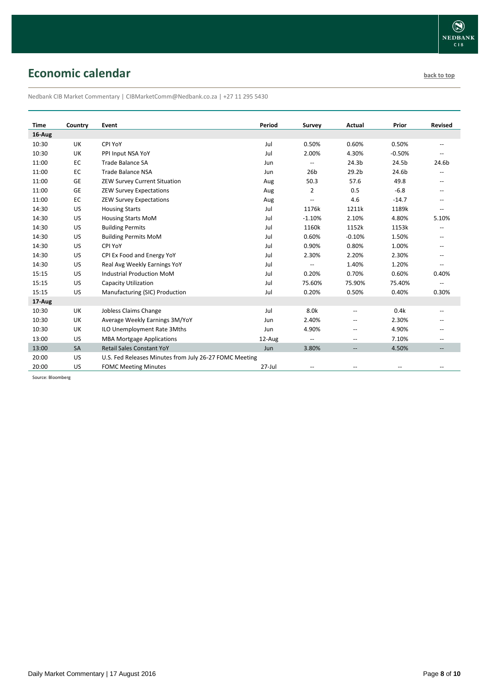# <span id="page-7-0"></span>**Economic calendar [back to top](#page-0-0) back to top**

Nedbank CIB Market Commentary | CIBMarketComm@Nedbank.co.za | +27 11 295 5430

| Time   | Country   | Event                                                  | Period     | Survey                   | Actual            | Prior    | <b>Revised</b>           |
|--------|-----------|--------------------------------------------------------|------------|--------------------------|-------------------|----------|--------------------------|
| 16-Aug |           |                                                        |            |                          |                   |          |                          |
| 10:30  | UK        | CPI YoY                                                | Jul        | 0.50%                    | 0.60%             | 0.50%    | $\overline{\phantom{m}}$ |
| 10:30  | UK        | PPI Input NSA YoY                                      | Jul        | 2.00%                    | 4.30%             | $-0.50%$ | $\overline{a}$           |
| 11:00  | EC        | <b>Trade Balance SA</b>                                | Jun        | $\overline{\phantom{m}}$ | 24.3 <sub>b</sub> | 24.5b    | 24.6b                    |
| 11:00  | EC        | <b>Trade Balance NSA</b>                               | Jun        | 26 <sub>b</sub>          | 29.2 <sub>b</sub> | 24.6b    | $\overline{\phantom{m}}$ |
| 11:00  | <b>GE</b> | ZEW Survey Current Situation                           | Aug        | 50.3                     | 57.6              | 49.8     | $-$                      |
| 11:00  | GE        | <b>ZEW Survey Expectations</b>                         | Aug        | 2                        | 0.5               | $-6.8$   | $\overline{\phantom{a}}$ |
| 11:00  | EC        | <b>ZEW Survey Expectations</b>                         | Aug        | $\overline{\phantom{a}}$ | 4.6               | $-14.7$  | $-$                      |
| 14:30  | US        | <b>Housing Starts</b>                                  | Jul        | 1176k                    | 1211k             | 1189k    | $\overline{a}$           |
| 14:30  | US        | <b>Housing Starts MoM</b>                              | Jul        | $-1.10%$                 | 2.10%             | 4.80%    | 5.10%                    |
| 14:30  | US        | <b>Building Permits</b>                                | Jul        | 1160k                    | 1152k             | 1153k    | $\overline{\phantom{m}}$ |
| 14:30  | US        | <b>Building Permits MoM</b>                            | Jul        | 0.60%                    | $-0.10%$          | 1.50%    | $\overline{a}$           |
| 14:30  | US        | CPI YoY                                                | Jul        | 0.90%                    | 0.80%             | 1.00%    | --                       |
| 14:30  | US        | CPI Ex Food and Energy YoY                             | Jul        | 2.30%                    | 2.20%             | 2.30%    | $\overline{a}$           |
| 14:30  | US        | Real Avg Weekly Earnings YoY                           | Jul        | $\overline{\phantom{a}}$ | 1.40%             | 1.20%    | --                       |
| 15:15  | US        | <b>Industrial Production MoM</b>                       | Jul        | 0.20%                    | 0.70%             | 0.60%    | 0.40%                    |
| 15:15  | US        | Capacity Utilization                                   | Jul        | 75.60%                   | 75.90%            | 75.40%   | $\overline{a}$           |
| 15:15  | US        | Manufacturing (SIC) Production                         | Jul        | 0.20%                    | 0.50%             | 0.40%    | 0.30%                    |
| 17-Aug |           |                                                        |            |                          |                   |          |                          |
| 10:30  | UK        | Jobless Claims Change                                  | Jul        | 8.0k                     | $\overline{a}$    | 0.4k     | $-$                      |
| 10:30  | UK        | Average Weekly Earnings 3M/YoY                         | Jun        | 2.40%                    | --                | 2.30%    | $\overline{\phantom{m}}$ |
| 10:30  | UK        | ILO Unemployment Rate 3Mths                            | Jun        | 4.90%                    | $-$               | 4.90%    | $\overline{\phantom{a}}$ |
| 13:00  | US        | <b>MBA Mortgage Applications</b>                       | 12-Aug     | $\overline{a}$           | $\overline{a}$    | 7.10%    | --                       |
| 13:00  | SA        | <b>Retail Sales Constant YoY</b>                       | Jun        | 3.80%                    |                   | 4.50%    |                          |
| 20:00  | US        | U.S. Fed Releases Minutes from July 26-27 FOMC Meeting |            |                          |                   |          |                          |
| 20:00  | US        | <b>FOMC Meeting Minutes</b>                            | $27 -$ Jul | $\overline{\phantom{a}}$ | $- -$             | --       |                          |

Source: Bloomberg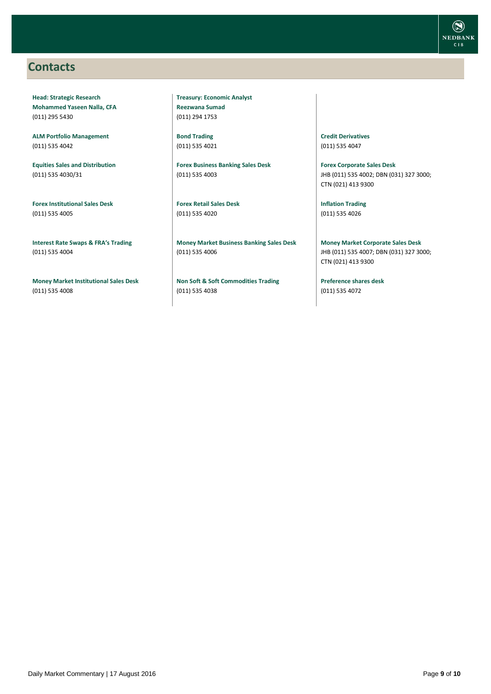## <span id="page-8-0"></span>**Contacts**

**Head: Strategic Research Mohammed Yaseen Nalla, CFA** (011) 295 5430

**ALM Portfolio Management** (011) 535 4042

**Equities Sales and Distribution** (011) 535 4030/31

**Forex Institutional Sales Desk** (011) 535 4005

**Interest Rate Swaps & FRA's Trading** (011) 535 4004

**Money Market Institutional Sales Desk** (011) 535 4008

**Treasury: Economic Analyst Reezwana Sumad** (011) 294 1753

**Bond Trading** (011) 535 4021

**Forex Business Banking Sales Desk** (011) 535 4003

**Forex Retail Sales Desk** (011) 535 4020

**Money Market Business Banking Sales Desk** (011) 535 4006

**Non Soft & Soft Commodities Trading** (011) 535 4038

**Credit Derivatives**  (011) 535 4047

**Forex Corporate Sales Desk** JHB (011) 535 4002; DBN (031) 327 3000; CTN (021) 413 9300

**Inflation Trading** (011) 535 4026

**Money Market Corporate Sales Desk** JHB (011) 535 4007; DBN (031) 327 3000; CTN (021) 413 9300

**Preference shares desk** (011) 535 4072